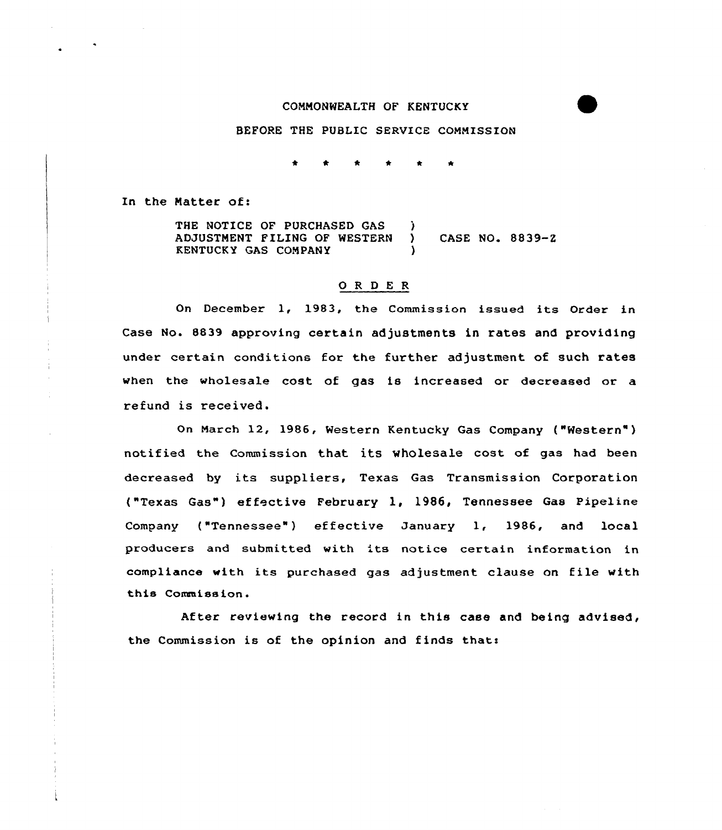# CONNONWEALTH OF KENTUCKY

# BEFORE THE PUSLIC SERVICE CONMISSION

\* 0 \* \* \* \*

In the Natter of:

THE NOTICE OF PURCHASED GAS ADJUSTMENT FILING OF WESTERN ) CASE NO. 8839-Z KENTUCKY GAS CONPANY )

### 0 <sup>R</sup> <sup>D</sup> <sup>E</sup> <sup>R</sup>

On December 1, 1983, the Commission issued its Order in Case No. 8839 approving certain adjustments in rates and providing under certain conditions for the further adjustment of such rates when the wholesale cost of gas is increased or decreased or a refund is received.

On Narch 12, 1986, Western Kentucky Gas Company ("Western" ) notified the Commission that its wholesale cost of gas had been decreased by its suppliers, Texas Gas Transmission Corporation ("Texas Gas") effective February l, 1986, Tennessee Gas Pipe1ine Company ("Tennessee") effective January 1, 1986, and local producers and submitted with its notice certain information in compliance with its purchased gas adjustment clause on file with this Commission.

After reviewing the record in this case and being advised, the Commission is of the opinion and finds that: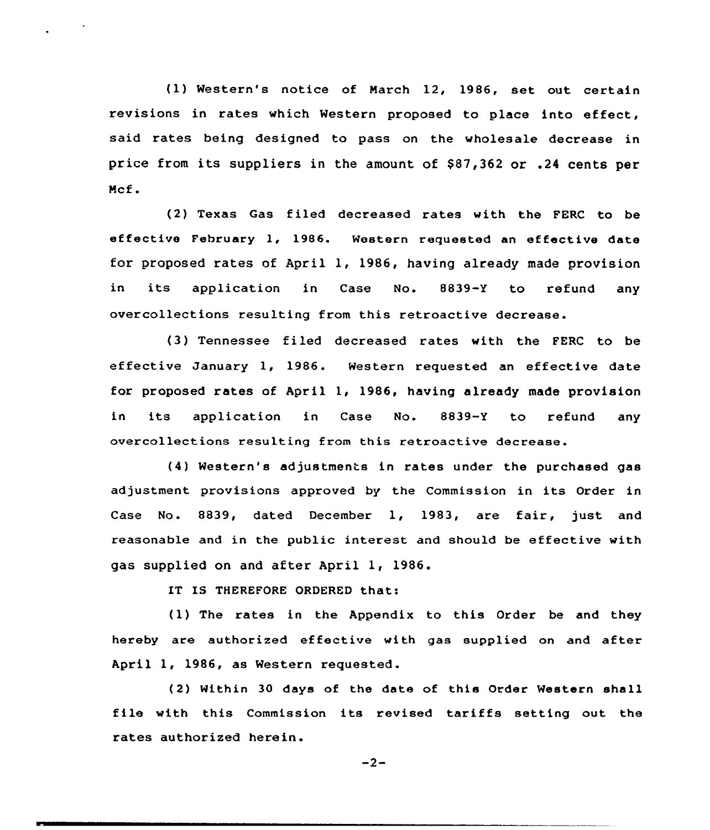(1) Western's notice of March 12, 1986, set out certain revisions in rates which Western proposed to place into effect, said rates being designed to pass on the wholesale decrease in price from its suppliers in the amount of \$87,362 or .24 cents per Ncf.

(2) Texas Gas filed decreased rates with the FERC to be effective February 1, 1986. Western requested an effective date for proposed rates of April 1, 1986, having already made provision in its application in Case No. 8839-Y to refund any overcollections resulting from this retroactive decrease.

(3) Tennessee filed decreased rates with the FERC to be effective January 1, 1986. Western requested an effective date for proposed rates of April 1, 1986, having already made provision in its application in Case No. 8839-Y to refund any overcollections resulting from this retroactive decrease.

(4) Western's adjustments in rates under the purchased gas adjustment provisions approved by the Commission in its Order in Case No. 8839, dated December 1, 1983, are fair, just and reasonable and in the public interest and should be effective with gas supplied on and after April 1, 1986.

IT IS THEREFORE ORDERED that:

(1) The rates in the Appendix to this Order be and they hereby are authorized effective with gas supplied on and after April 1, 1986, as Western requested.

(2) Within 30 days of the date of this Order Western shall file with this Commission its revised tariffs setting out the rates authorized herein.

 $-2-$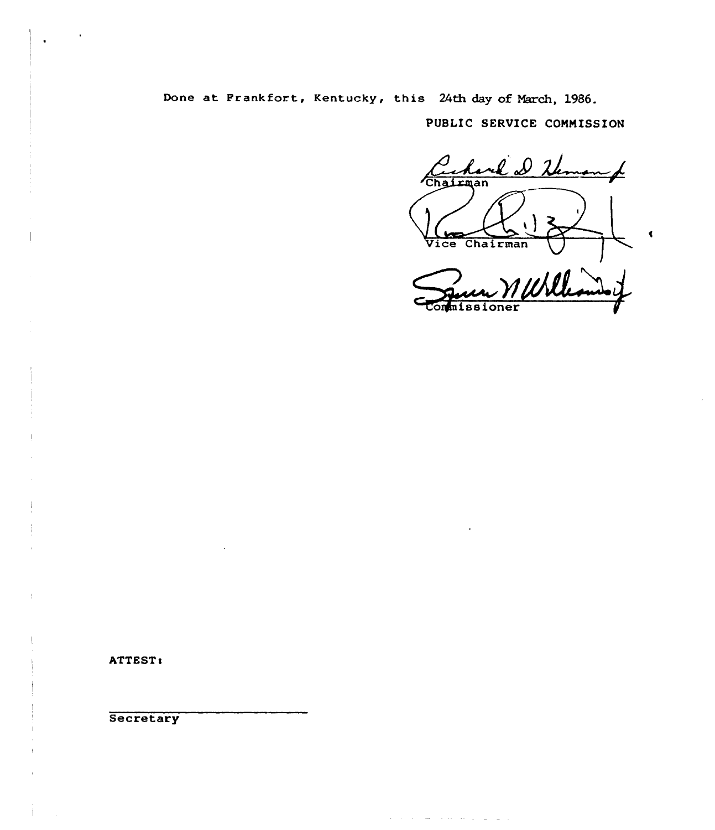Done at Frankfort, Kentucky, this 24th day of March, 1986.

PUBLIC SERVICE COMNISSION

rek D then  $\rightarrow$ Chairman Vice Chairman 1 Will

state and a

**Contract Contract** 

 $\blacktriangleleft$ 

ATTEST!

**Secretary**